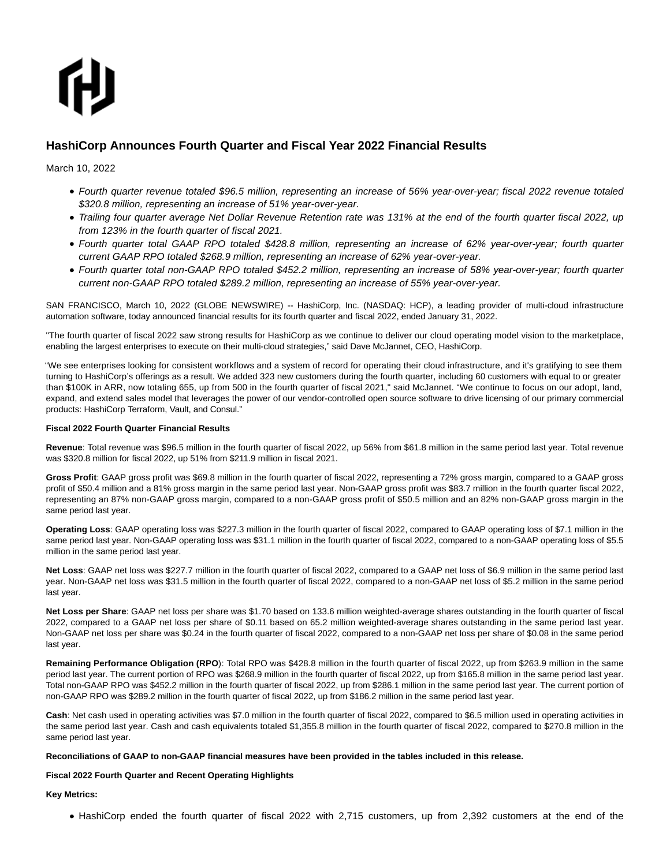# ſH

# **HashiCorp Announces Fourth Quarter and Fiscal Year 2022 Financial Results**

March 10, 2022

- Fourth quarter revenue totaled \$96.5 million, representing an increase of 56% year-over-year; fiscal 2022 revenue totaled \$320.8 million, representing an increase of 51% year-over-year.
- Trailing four quarter average Net Dollar Revenue Retention rate was 131% at the end of the fourth quarter fiscal 2022, up from 123% in the fourth quarter of fiscal 2021.
- Fourth quarter total GAAP RPO totaled \$428.8 million, representing an increase of 62% year-over-year; fourth quarter current GAAP RPO totaled \$268.9 million, representing an increase of 62% year-over-year.
- Fourth quarter total non-GAAP RPO totaled \$452.2 million, representing an increase of 58% year-over-year; fourth quarter current non-GAAP RPO totaled \$289.2 million, representing an increase of 55% year-over-year.

SAN FRANCISCO, March 10, 2022 (GLOBE NEWSWIRE) -- HashiCorp, Inc. (NASDAQ: HCP), a leading provider of multi-cloud infrastructure automation software, today announced financial results for its fourth quarter and fiscal 2022, ended January 31, 2022.

"The fourth quarter of fiscal 2022 saw strong results for HashiCorp as we continue to deliver our cloud operating model vision to the marketplace, enabling the largest enterprises to execute on their multi-cloud strategies," said Dave McJannet, CEO, HashiCorp.

"We see enterprises looking for consistent workflows and a system of record for operating their cloud infrastructure, and it's gratifying to see them turning to HashiCorp's offerings as a result. We added 323 new customers during the fourth quarter, including 60 customers with equal to or greater than \$100K in ARR, now totaling 655, up from 500 in the fourth quarter of fiscal 2021," said McJannet. "We continue to focus on our adopt, land, expand, and extend sales model that leverages the power of our vendor-controlled open source software to drive licensing of our primary commercial products: HashiCorp Terraform, Vault, and Consul."

# **Fiscal 2022 Fourth Quarter Financial Results**

**Revenue**: Total revenue was \$96.5 million in the fourth quarter of fiscal 2022, up 56% from \$61.8 million in the same period last year. Total revenue was \$320.8 million for fiscal 2022, up 51% from \$211.9 million in fiscal 2021.

**Gross Profit**: GAAP gross profit was \$69.8 million in the fourth quarter of fiscal 2022, representing a 72% gross margin, compared to a GAAP gross profit of \$50.4 million and a 81% gross margin in the same period last year. Non-GAAP gross profit was \$83.7 million in the fourth quarter fiscal 2022, representing an 87% non-GAAP gross margin, compared to a non-GAAP gross profit of \$50.5 million and an 82% non-GAAP gross margin in the same period last year.

**Operating Loss**: GAAP operating loss was \$227.3 million in the fourth quarter of fiscal 2022, compared to GAAP operating loss of \$7.1 million in the same period last year. Non-GAAP operating loss was \$31.1 million in the fourth quarter of fiscal 2022, compared to a non-GAAP operating loss of \$5.5 million in the same period last year.

**Net Loss**: GAAP net loss was \$227.7 million in the fourth quarter of fiscal 2022, compared to a GAAP net loss of \$6.9 million in the same period last year. Non-GAAP net loss was \$31.5 million in the fourth quarter of fiscal 2022, compared to a non-GAAP net loss of \$5.2 million in the same period last year.

**Net Loss per Share**: GAAP net loss per share was \$1.70 based on 133.6 million weighted-average shares outstanding in the fourth quarter of fiscal 2022, compared to a GAAP net loss per share of \$0.11 based on 65.2 million weighted-average shares outstanding in the same period last year. Non-GAAP net loss per share was \$0.24 in the fourth quarter of fiscal 2022, compared to a non-GAAP net loss per share of \$0.08 in the same period last year.

**Remaining Performance Obligation (RPO**): Total RPO was \$428.8 million in the fourth quarter of fiscal 2022, up from \$263.9 million in the same period last year. The current portion of RPO was \$268.9 million in the fourth quarter of fiscal 2022, up from \$165.8 million in the same period last year. Total non-GAAP RPO was \$452.2 million in the fourth quarter of fiscal 2022, up from \$286.1 million in the same period last year. The current portion of non-GAAP RPO was \$289.2 million in the fourth quarter of fiscal 2022, up from \$186.2 million in the same period last year.

**Cash**: Net cash used in operating activities was \$7.0 million in the fourth quarter of fiscal 2022, compared to \$6.5 million used in operating activities in the same period last year. Cash and cash equivalents totaled \$1,355.8 million in the fourth quarter of fiscal 2022, compared to \$270.8 million in the same period last year.

# **Reconciliations of GAAP to non-GAAP financial measures have been provided in the tables included in this release.**

# **Fiscal 2022 Fourth Quarter and Recent Operating Highlights**

**Key Metrics:**

• HashiCorp ended the fourth quarter of fiscal 2022 with 2,715 customers, up from 2,392 customers at the end of the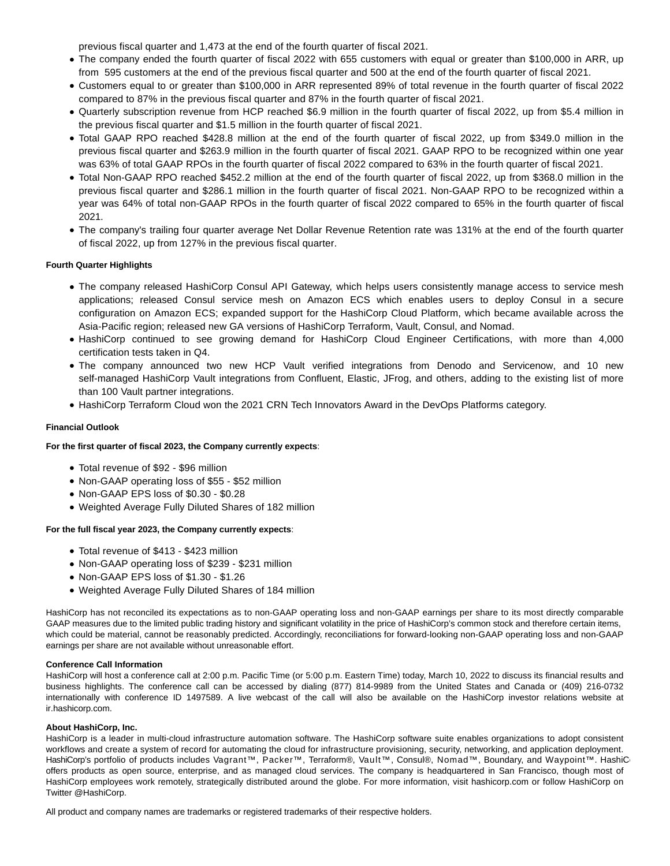previous fiscal quarter and 1,473 at the end of the fourth quarter of fiscal 2021.

- The company ended the fourth quarter of fiscal 2022 with 655 customers with equal or greater than \$100,000 in ARR, up from 595 customers at the end of the previous fiscal quarter and 500 at the end of the fourth quarter of fiscal 2021.
- Customers equal to or greater than \$100,000 in ARR represented 89% of total revenue in the fourth quarter of fiscal 2022 compared to 87% in the previous fiscal quarter and 87% in the fourth quarter of fiscal 2021.
- Quarterly subscription revenue from HCP reached \$6.9 million in the fourth quarter of fiscal 2022, up from \$5.4 million in the previous fiscal quarter and \$1.5 million in the fourth quarter of fiscal 2021.
- Total GAAP RPO reached \$428.8 million at the end of the fourth quarter of fiscal 2022, up from \$349.0 million in the previous fiscal quarter and \$263.9 million in the fourth quarter of fiscal 2021. GAAP RPO to be recognized within one year was 63% of total GAAP RPOs in the fourth quarter of fiscal 2022 compared to 63% in the fourth quarter of fiscal 2021.
- Total Non-GAAP RPO reached \$452.2 million at the end of the fourth quarter of fiscal 2022, up from \$368.0 million in the previous fiscal quarter and \$286.1 million in the fourth quarter of fiscal 2021. Non-GAAP RPO to be recognized within a year was 64% of total non-GAAP RPOs in the fourth quarter of fiscal 2022 compared to 65% in the fourth quarter of fiscal 2021.
- The company's trailing four quarter average Net Dollar Revenue Retention rate was 131% at the end of the fourth quarter of fiscal 2022, up from 127% in the previous fiscal quarter.

# **Fourth Quarter Highlights**

- The company released HashiCorp Consul API Gateway, which helps users consistently manage access to service mesh applications; released Consul service mesh on Amazon ECS which enables users to deploy Consul in a secure configuration on Amazon ECS; expanded support for the HashiCorp Cloud Platform, which became available across the Asia-Pacific region; released new GA versions of HashiCorp Terraform, Vault, Consul, and Nomad.
- HashiCorp continued to see growing demand for HashiCorp Cloud Engineer Certifications, with more than 4,000 certification tests taken in Q4.
- The company announced two new HCP Vault verified integrations from Denodo and Servicenow, and 10 new self-managed HashiCorp Vault integrations from Confluent, Elastic, JFrog, and others, adding to the existing list of more than 100 Vault partner integrations.
- HashiCorp Terraform Cloud won the 2021 CRN Tech Innovators Award in the DevOps Platforms category.

# **Financial Outlook**

# **For the first quarter of fiscal 2023, the Company currently expects**:

- Total revenue of \$92 \$96 million
- Non-GAAP operating loss of \$55 \$52 million
- Non-GAAP EPS loss of \$0.30 \$0.28
- Weighted Average Fully Diluted Shares of 182 million

# **For the full fiscal year 2023, the Company currently expects**:

- Total revenue of \$413 \$423 million
- Non-GAAP operating loss of \$239 \$231 million
- Non-GAAP EPS loss of \$1.30 \$1.26
- Weighted Average Fully Diluted Shares of 184 million

HashiCorp has not reconciled its expectations as to non-GAAP operating loss and non-GAAP earnings per share to its most directly comparable GAAP measures due to the limited public trading history and significant volatility in the price of HashiCorp's common stock and therefore certain items, which could be material, cannot be reasonably predicted. Accordingly, reconciliations for forward-looking non-GAAP operating loss and non-GAAP earnings per share are not available without unreasonable effort.

# **Conference Call Information**

HashiCorp will host a conference call at 2:00 p.m. Pacific Time (or 5:00 p.m. Eastern Time) today, March 10, 2022 to discuss its financial results and business highlights. The conference call can be accessed by dialing (877) 814-9989 from the United States and Canada or (409) 216-0732 internationally with conference ID 1497589. A live webcast of the call will also be available on the HashiCorp investor relations website at ir.hashicorp.com.

# **About HashiCorp, Inc.**

HashiCorp is a leader in multi-cloud infrastructure automation software. The HashiCorp software suite enables organizations to adopt consistent workflows and create a system of record for automating the cloud for infrastructure provisioning, security, networking, and application deployment. HashiCorp's portfolio of products includes Vagrant™, Packer™, Terraform®, Vault™, Consul®, Nomad™, Boundary, and Waypoint™. HashiCorp's offers products as open source, enterprise, and as managed cloud services. The company is headquartered in San Francisco, though most of HashiCorp employees work remotely, strategically distributed around the globe. For more information, visit hashicorp.com or follow HashiCorp on Twitter @HashiCorp.

All product and company names are trademarks or registered trademarks of their respective holders.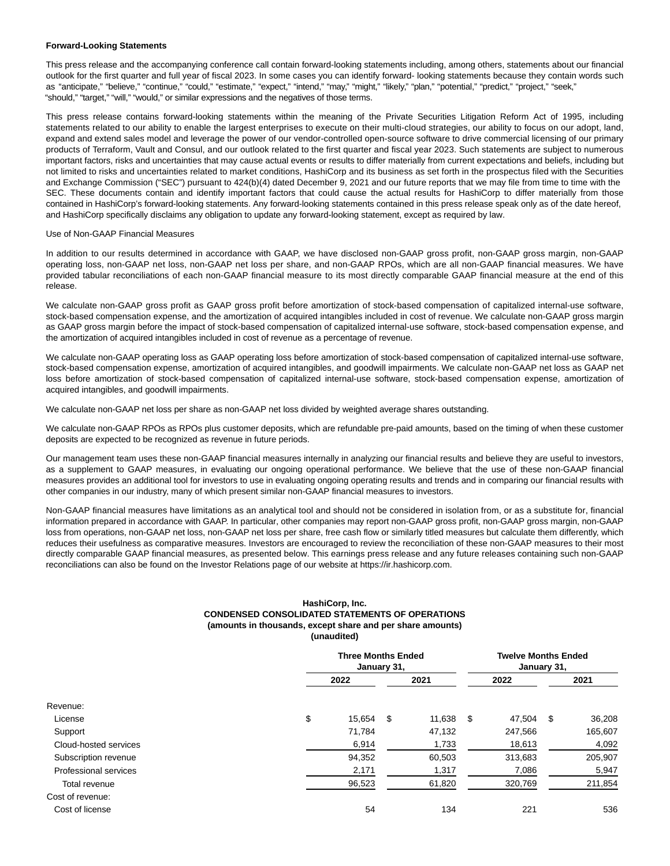#### **Forward-Looking Statements**

This press release and the accompanying conference call contain forward-looking statements including, among others, statements about our financial outlook for the first quarter and full year of fiscal 2023. In some cases you can identify forward- looking statements because they contain words such as "anticipate," "believe," "continue," "could," "estimate," "expect," "intend," "may," "might," "likely," "plan," "potential," "predict," "project," "seek," "should," "target," "will," "would," or similar expressions and the negatives of those terms.

This press release contains forward-looking statements within the meaning of the Private Securities Litigation Reform Act of 1995, including statements related to our ability to enable the largest enterprises to execute on their multi-cloud strategies, our ability to focus on our adopt, land, expand and extend sales model and leverage the power of our vendor-controlled open-source software to drive commercial licensing of our primary products of Terraform, Vault and Consul, and our outlook related to the first quarter and fiscal year 2023. Such statements are subject to numerous important factors, risks and uncertainties that may cause actual events or results to differ materially from current expectations and beliefs, including but not limited to risks and uncertainties related to market conditions, HashiCorp and its business as set forth in the prospectus filed with the Securities and Exchange Commission ("SEC") pursuant to 424(b)(4) dated December 9, 2021 and our future reports that we may file from time to time with the SEC. These documents contain and identify important factors that could cause the actual results for HashiCorp to differ materially from those contained in HashiCorp's forward-looking statements. Any forward-looking statements contained in this press release speak only as of the date hereof, and HashiCorp specifically disclaims any obligation to update any forward-looking statement, except as required by law.

#### Use of Non-GAAP Financial Measures

In addition to our results determined in accordance with GAAP, we have disclosed non-GAAP gross profit, non-GAAP gross margin, non-GAAP operating loss, non-GAAP net loss, non-GAAP net loss per share, and non-GAAP RPOs, which are all non-GAAP financial measures. We have provided tabular reconciliations of each non-GAAP financial measure to its most directly comparable GAAP financial measure at the end of this release.

We calculate non-GAAP gross profit as GAAP gross profit before amortization of stock-based compensation of capitalized internal-use software, stock-based compensation expense, and the amortization of acquired intangibles included in cost of revenue. We calculate non-GAAP gross margin as GAAP gross margin before the impact of stock-based compensation of capitalized internal-use software, stock-based compensation expense, and the amortization of acquired intangibles included in cost of revenue as a percentage of revenue.

We calculate non-GAAP operating loss as GAAP operating loss before amortization of stock-based compensation of capitalized internal-use software, stock-based compensation expense, amortization of acquired intangibles, and goodwill impairments. We calculate non-GAAP net loss as GAAP net loss before amortization of stock-based compensation of capitalized internal-use software, stock-based compensation expense, amortization of acquired intangibles, and goodwill impairments.

We calculate non-GAAP net loss per share as non-GAAP net loss divided by weighted average shares outstanding.

We calculate non-GAAP RPOs as RPOs plus customer deposits, which are refundable pre-paid amounts, based on the timing of when these customer deposits are expected to be recognized as revenue in future periods.

Our management team uses these non-GAAP financial measures internally in analyzing our financial results and believe they are useful to investors, as a supplement to GAAP measures, in evaluating our ongoing operational performance. We believe that the use of these non-GAAP financial measures provides an additional tool for investors to use in evaluating ongoing operating results and trends and in comparing our financial results with other companies in our industry, many of which present similar non-GAAP financial measures to investors.

Non-GAAP financial measures have limitations as an analytical tool and should not be considered in isolation from, or as a substitute for, financial information prepared in accordance with GAAP. In particular, other companies may report non-GAAP gross profit, non-GAAP gross margin, non-GAAP loss from operations, non-GAAP net loss, non-GAAP net loss per share, free cash flow or similarly titled measures but calculate them differently, which reduces their usefulness as comparative measures. Investors are encouraged to review the reconciliation of these non-GAAP measures to their most directly comparable GAAP financial measures, as presented below. This earnings press release and any future releases containing such non-GAAP reconciliations can also be found on the Investor Relations page of our website at https://ir.hashicorp.com.

# **HashiCorp, Inc. CONDENSED CONSOLIDATED STATEMENTS OF OPERATIONS (amounts in thousands, except share and per share amounts) (unaudited)**

|                       | <b>Three Months Ended</b><br>January 31, |     |        |    |         | <b>Twelve Months Ended</b><br>January 31, |         |  |  |  |
|-----------------------|------------------------------------------|-----|--------|----|---------|-------------------------------------------|---------|--|--|--|
|                       | 2022                                     |     |        |    | 2022    | 2021                                      |         |  |  |  |
| Revenue:              |                                          |     |        |    |         |                                           |         |  |  |  |
| License               | \$<br>15.654                             | -\$ | 11,638 | \$ | 47.504  | - \$                                      | 36,208  |  |  |  |
| Support               | 71,784                                   |     | 47,132 |    | 247,566 |                                           | 165,607 |  |  |  |
| Cloud-hosted services | 6,914                                    |     | 1,733  |    | 18,613  |                                           | 4,092   |  |  |  |
| Subscription revenue  | 94,352                                   |     | 60,503 |    | 313,683 |                                           | 205,907 |  |  |  |
| Professional services | 2,171                                    |     | 1,317  |    | 7,086   |                                           | 5,947   |  |  |  |
| Total revenue         | 96,523                                   |     | 61,820 |    | 320,769 |                                           | 211,854 |  |  |  |
| Cost of revenue:      |                                          |     |        |    |         |                                           |         |  |  |  |
| Cost of license       | 54                                       |     | 134    |    | 221     |                                           | 536     |  |  |  |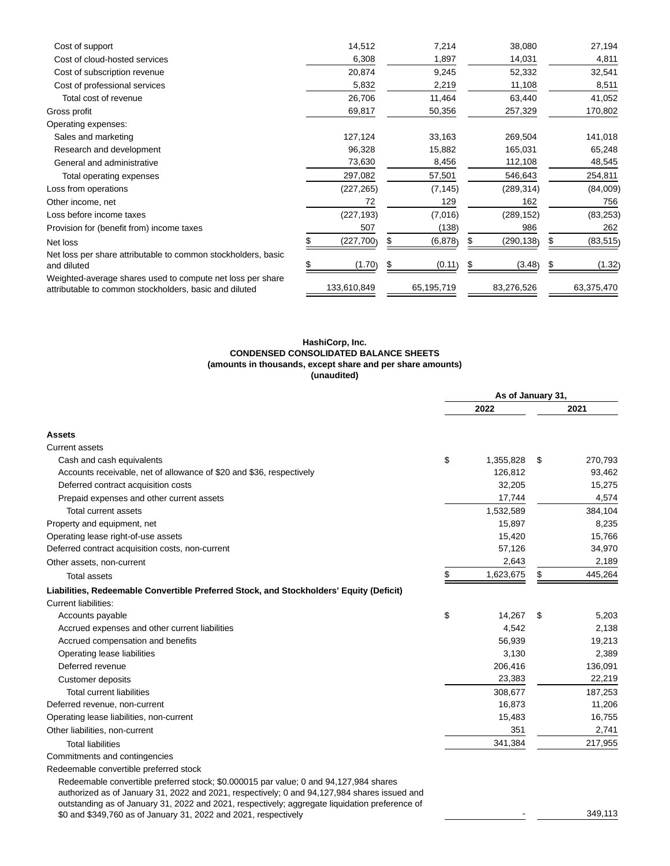| Cost of support                                                                                                      | 14,512      | 7,214      | 38,080     | 27,194     |
|----------------------------------------------------------------------------------------------------------------------|-------------|------------|------------|------------|
| Cost of cloud-hosted services                                                                                        | 6,308       | 1,897      | 14,031     | 4,811      |
| Cost of subscription revenue                                                                                         | 20,874      | 9,245      | 52,332     | 32,541     |
| Cost of professional services                                                                                        | 5,832       | 2,219      | 11,108     | 8,511      |
| Total cost of revenue                                                                                                | 26,706      | 11,464     | 63,440     | 41,052     |
| Gross profit                                                                                                         | 69,817      | 50,356     | 257,329    | 170,802    |
| Operating expenses:                                                                                                  |             |            |            |            |
| Sales and marketing                                                                                                  | 127,124     | 33,163     | 269,504    | 141,018    |
| Research and development                                                                                             | 96,328      | 15,882     | 165,031    | 65,248     |
| General and administrative                                                                                           | 73,630      | 8,456      | 112,108    | 48,545     |
| Total operating expenses                                                                                             | 297,082     | 57,501     | 546,643    | 254,811    |
| Loss from operations                                                                                                 | (227, 265)  | (7, 145)   | (289, 314) | (84,009)   |
| Other income, net                                                                                                    | 72          | 129        | 162        | 756        |
| Loss before income taxes                                                                                             | (227, 193)  | (7,016)    | (289, 152) | (83, 253)  |
| Provision for (benefit from) income taxes                                                                            | 507         | (138)      | 986        | 262        |
| Net loss                                                                                                             | (227, 700)  | (6,878)    | (290,138)  | (83, 515)  |
| Net loss per share attributable to common stockholders, basic<br>and diluted                                         | (1.70)      | (0.11)     | (3.48)     | (1.32)     |
| Weighted-average shares used to compute net loss per share<br>attributable to common stockholders, basic and diluted | 133,610,849 | 65,195,719 | 83,276,526 | 63,375,470 |

#### **HashiCorp, Inc. CONDENSED CONSOLIDATED BALANCE SHEETS (amounts in thousands, except share and per share amounts) (unaudited)**

|                                                                                                                                                                                                                                                                                         | As of January 31, |               |
|-----------------------------------------------------------------------------------------------------------------------------------------------------------------------------------------------------------------------------------------------------------------------------------------|-------------------|---------------|
|                                                                                                                                                                                                                                                                                         | 2022              | 2021          |
| <b>Assets</b>                                                                                                                                                                                                                                                                           |                   |               |
| <b>Current assets</b>                                                                                                                                                                                                                                                                   |                   |               |
| Cash and cash equivalents                                                                                                                                                                                                                                                               | \$<br>1,355,828   | \$<br>270,793 |
| Accounts receivable, net of allowance of \$20 and \$36, respectively                                                                                                                                                                                                                    | 126,812           | 93,462        |
| Deferred contract acquisition costs                                                                                                                                                                                                                                                     | 32,205            | 15,275        |
| Prepaid expenses and other current assets                                                                                                                                                                                                                                               | 17,744            | 4,574         |
| Total current assets                                                                                                                                                                                                                                                                    | 1,532,589         | 384,104       |
| Property and equipment, net                                                                                                                                                                                                                                                             | 15,897            | 8,235         |
| Operating lease right-of-use assets                                                                                                                                                                                                                                                     | 15,420            | 15,766        |
| Deferred contract acquisition costs, non-current                                                                                                                                                                                                                                        | 57,126            | 34,970        |
| Other assets, non-current                                                                                                                                                                                                                                                               | 2,643             | 2,189         |
| <b>Total assets</b>                                                                                                                                                                                                                                                                     | \$<br>1,623,675   | \$<br>445,264 |
| Liabilities, Redeemable Convertible Preferred Stock, and Stockholders' Equity (Deficit)                                                                                                                                                                                                 |                   |               |
| Current liabilities:                                                                                                                                                                                                                                                                    |                   |               |
| Accounts payable                                                                                                                                                                                                                                                                        | \$<br>14,267      | \$<br>5,203   |
| Accrued expenses and other current liabilities                                                                                                                                                                                                                                          | 4,542             | 2,138         |
| Accrued compensation and benefits                                                                                                                                                                                                                                                       | 56,939            | 19,213        |
| Operating lease liabilities                                                                                                                                                                                                                                                             | 3,130             | 2,389         |
| Deferred revenue                                                                                                                                                                                                                                                                        | 206,416           | 136,091       |
| <b>Customer deposits</b>                                                                                                                                                                                                                                                                | 23,383            | 22,219        |
| <b>Total current liabilities</b>                                                                                                                                                                                                                                                        | 308,677           | 187,253       |
| Deferred revenue, non-current                                                                                                                                                                                                                                                           | 16,873            | 11,206        |
| Operating lease liabilities, non-current                                                                                                                                                                                                                                                | 15,483            | 16,755        |
| Other liabilities, non-current                                                                                                                                                                                                                                                          | 351               | 2,741         |
| <b>Total liabilities</b>                                                                                                                                                                                                                                                                | 341,384           | 217,955       |
| Commitments and contingencies                                                                                                                                                                                                                                                           |                   |               |
| Redeemable convertible preferred stock                                                                                                                                                                                                                                                  |                   |               |
| Redeemable convertible preferred stock; \$0.000015 par value; 0 and 94,127,984 shares<br>authorized as of January 31, 2022 and 2021, respectively; 0 and 94,127,984 shares issued and<br>outstanding as of January 31, 2022 and 2021, respectively; aggregate liquidation preference of |                   |               |

\$0 and \$349,760 as of January 31, 2022 and 2021, respectively and state of state of state and \$349,113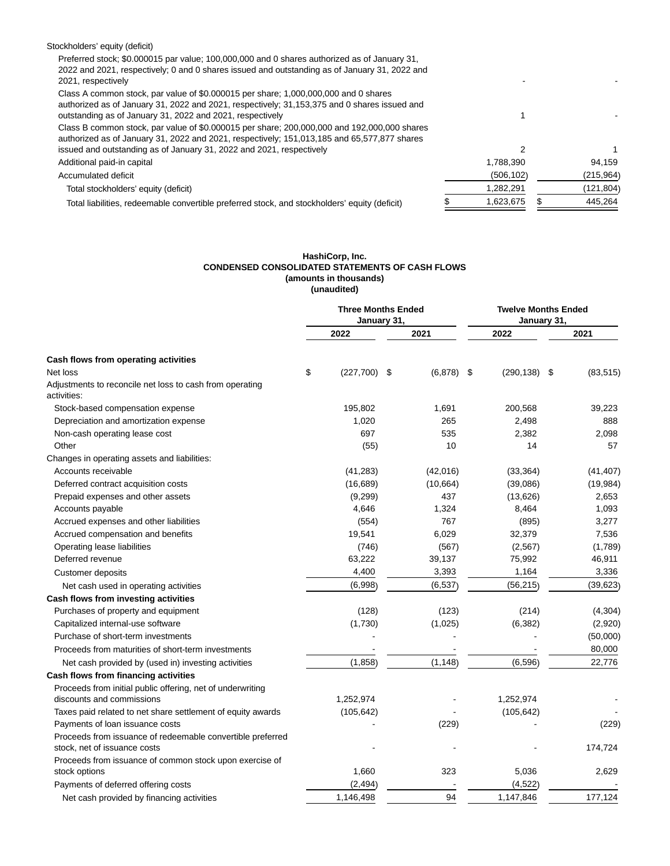| Stockholders' equity (deficit)                                                                |            |            |
|-----------------------------------------------------------------------------------------------|------------|------------|
| Preferred stock; \$0.000015 par value; 100,000,000 and 0 shares authorized as of January 31,  |            |            |
| 2022 and 2021, respectively; 0 and 0 shares issued and outstanding as of January 31, 2022 and |            |            |
| 2021, respectively                                                                            |            |            |
| Class A common stock, par value of \$0.000015 per share; 1,000,000,000 and 0 shares           |            |            |
| authorized as of January 31, 2022 and 2021, respectively; 31,153,375 and 0 shares issued and  |            |            |
| outstanding as of January 31, 2022 and 2021, respectively                                     |            |            |
| Class B common stock, par value of \$0.000015 per share; 200,000,000 and 192,000,000 shares   |            |            |
| authorized as of January 31, 2022 and 2021, respectively; 151,013,185 and 65,577,877 shares   |            |            |
| issued and outstanding as of January 31, 2022 and 2021, respectively                          | 2          |            |
| Additional paid-in capital                                                                    | 1,788,390  | 94,159     |
| Accumulated deficit                                                                           | (506, 102) | (215, 964) |
| Total stockholders' equity (deficit)                                                          | 1,282,291  | (121, 804) |
| Total liabilities, redeemable convertible preferred stock, and stockholders' equity (deficit) | 1.623.675  | 445.264    |

#### **HashiCorp, Inc. CONDENSED CONSOLIDATED STATEMENTS OF CASH FLOWS (amounts in thousands) (unaudited)**

|                                                                                            | <b>Three Months Ended</b><br>January 31,<br>January 31, |     |           |      |                 | <b>Twelve Months Ended</b> |           |  |
|--------------------------------------------------------------------------------------------|---------------------------------------------------------|-----|-----------|------|-----------------|----------------------------|-----------|--|
|                                                                                            | 2022                                                    |     | 2021      |      | 2022            |                            | 2021      |  |
| Cash flows from operating activities                                                       |                                                         |     |           |      |                 |                            |           |  |
| Net loss                                                                                   | \$<br>(227,700)                                         | -\$ | (6, 878)  | - \$ | $(290, 138)$ \$ |                            | (83, 515) |  |
| Adjustments to reconcile net loss to cash from operating<br>activities:                    |                                                         |     |           |      |                 |                            |           |  |
| Stock-based compensation expense                                                           | 195,802                                                 |     | 1,691     |      | 200,568         |                            | 39,223    |  |
| Depreciation and amortization expense                                                      | 1,020                                                   |     | 265       |      | 2,498           |                            | 888       |  |
| Non-cash operating lease cost                                                              | 697                                                     |     | 535       |      | 2,382           |                            | 2,098     |  |
| Other                                                                                      | (55)                                                    |     | 10        |      | 14              |                            | 57        |  |
| Changes in operating assets and liabilities:                                               |                                                         |     |           |      |                 |                            |           |  |
| Accounts receivable                                                                        | (41, 283)                                               |     | (42,016)  |      | (33, 364)       |                            | (41, 407) |  |
| Deferred contract acquisition costs                                                        | (16, 689)                                               |     | (10, 664) |      | (39,086)        |                            | (19,984)  |  |
| Prepaid expenses and other assets                                                          | (9,299)                                                 |     | 437       |      | (13,626)        |                            | 2,653     |  |
| Accounts payable                                                                           | 4,646                                                   |     | 1,324     |      | 8,464           |                            | 1,093     |  |
| Accrued expenses and other liabilities                                                     | (554)                                                   |     | 767       |      | (895)           |                            | 3,277     |  |
| Accrued compensation and benefits                                                          | 19,541                                                  |     | 6,029     |      | 32,379          |                            | 7,536     |  |
| Operating lease liabilities                                                                | (746)                                                   |     | (567)     |      | (2, 567)        |                            | (1,789)   |  |
| Deferred revenue                                                                           | 63,222                                                  |     | 39,137    |      | 75,992          |                            | 46,911    |  |
| Customer deposits                                                                          | 4,400                                                   |     | 3,393     |      | 1,164           |                            | 3,336     |  |
| Net cash used in operating activities                                                      | (6,998)                                                 |     | (6, 537)  |      | (56, 215)       |                            | (39, 623) |  |
| Cash flows from investing activities                                                       |                                                         |     |           |      |                 |                            |           |  |
| Purchases of property and equipment                                                        | (128)                                                   |     | (123)     |      | (214)           |                            | (4,304)   |  |
| Capitalized internal-use software                                                          | (1,730)                                                 |     | (1,025)   |      | (6, 382)        |                            | (2,920)   |  |
| Purchase of short-term investments                                                         |                                                         |     |           |      |                 |                            | (50,000)  |  |
| Proceeds from maturities of short-term investments                                         |                                                         |     |           |      |                 |                            | 80,000    |  |
| Net cash provided by (used in) investing activities                                        | (1,858)                                                 |     | (1, 148)  |      | (6,596)         |                            | 22,776    |  |
| Cash flows from financing activities                                                       |                                                         |     |           |      |                 |                            |           |  |
| Proceeds from initial public offering, net of underwriting                                 |                                                         |     |           |      |                 |                            |           |  |
| discounts and commissions                                                                  | 1,252,974                                               |     |           |      | 1,252,974       |                            |           |  |
| Taxes paid related to net share settlement of equity awards                                | (105, 642)                                              |     |           |      | (105, 642)      |                            |           |  |
| Payments of loan issuance costs                                                            |                                                         |     | (229)     |      |                 |                            | (229)     |  |
| Proceeds from issuance of redeemable convertible preferred<br>stock, net of issuance costs |                                                         |     |           |      |                 |                            | 174,724   |  |
| Proceeds from issuance of common stock upon exercise of                                    |                                                         |     |           |      |                 |                            |           |  |
| stock options                                                                              | 1,660                                                   |     | 323       |      | 5,036           |                            | 2,629     |  |
| Payments of deferred offering costs                                                        | (2, 494)                                                |     |           |      | (4, 522)        |                            |           |  |
| Net cash provided by financing activities                                                  | 1,146,498                                               |     | 94        |      | 1,147,846       |                            | 177,124   |  |
|                                                                                            |                                                         |     |           |      |                 |                            |           |  |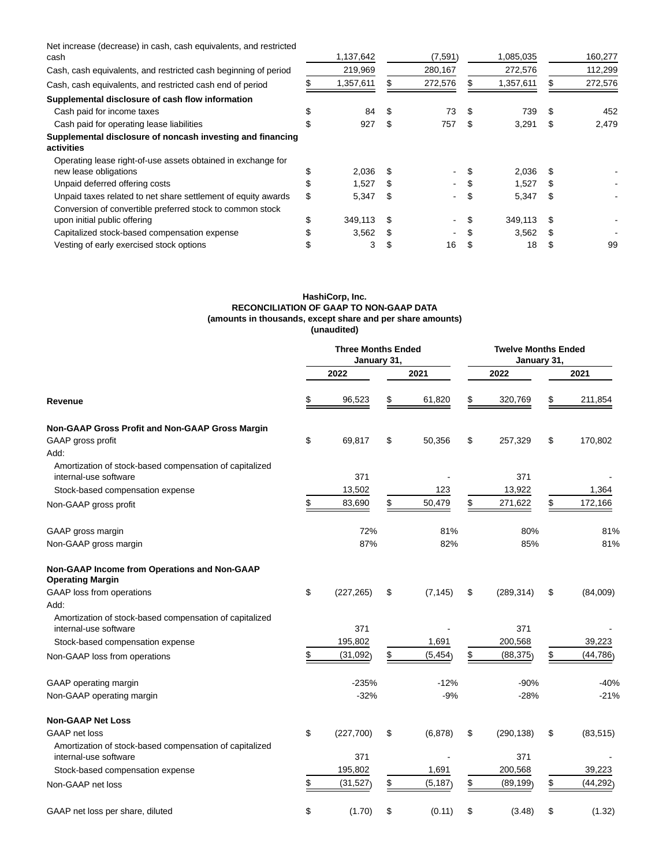Net increase (decrease) in cash, cash equivalents, and restricted

| cash                                                                                                                       |    | 1,137,642 |      | (7, 591) |     | 1,085,035 |     | 160,277 |
|----------------------------------------------------------------------------------------------------------------------------|----|-----------|------|----------|-----|-----------|-----|---------|
| Cash, cash equivalents, and restricted cash beginning of period                                                            |    | 219,969   |      | 280,167  |     | 272,576   |     | 112,299 |
| Cash, cash equivalents, and restricted cash end of period                                                                  |    | 1,357,611 |      | 272,576  |     | 1,357,611 |     | 272,576 |
| Supplemental disclosure of cash flow information                                                                           |    |           |      |          |     |           |     |         |
| Cash paid for income taxes                                                                                                 |    | 84        | -S   | 73       | \$  | 739       | \$. | 452     |
| Cash paid for operating lease liabilities                                                                                  |    | 927       | \$.  | 757      | S   | 3,291     | S   | 2,479   |
| Supplemental disclosure of noncash investing and financing<br>activities                                                   |    |           |      |          |     |           |     |         |
| Operating lease right-of-use assets obtained in exchange for<br>new lease obligations                                      |    | 2,036     |      | ۰.       | \$. | 2,036     | \$. |         |
| Unpaid deferred offering costs                                                                                             | Ъ. | 1.527     | -S   | ۰.       |     | 1,527     | \$. |         |
| Unpaid taxes related to net share settlement of equity awards<br>Conversion of convertible preferred stock to common stock | \$ | 5.347     | -S   | ۰.       | S   | 5,347     | S   |         |
| upon initial public offering                                                                                               | \$ | 349,113   | - \$ | ۰.       | S   | 349,113   | -SS |         |
| Capitalized stock-based compensation expense                                                                               |    | 3,562     |      | ۰        |     | 3,562     | \$. |         |
| Vesting of early exercised stock options                                                                                   |    | 3         |      | 16       |     | 18        |     | 99      |

# **HashiCorp, Inc. RECONCILIATION OF GAAP TO NON-GAAP DATA (amounts in thousands, except share and per share amounts) (unaudited)**

|                                                                                  | <b>Three Months Ended</b><br>January 31, |                | <b>Twelve Months Ended</b><br>January 31, |            |    |           |  |
|----------------------------------------------------------------------------------|------------------------------------------|----------------|-------------------------------------------|------------|----|-----------|--|
|                                                                                  | 2022                                     | 2021           |                                           | 2022       |    | 2021      |  |
| Revenue                                                                          | \$<br>96,523                             | \$<br>61,820   | \$                                        | 320,769    | \$ | 211,854   |  |
| Non-GAAP Gross Profit and Non-GAAP Gross Margin                                  |                                          |                |                                           |            |    |           |  |
| GAAP gross profit                                                                | \$<br>69,817                             | \$<br>50,356   | \$                                        | 257,329    | \$ | 170,802   |  |
| Add:                                                                             |                                          |                |                                           |            |    |           |  |
| Amortization of stock-based compensation of capitalized<br>internal-use software | 371                                      |                |                                           | 371        |    |           |  |
| Stock-based compensation expense                                                 | 13,502                                   | 123            |                                           | 13,922     |    | 1,364     |  |
| Non-GAAP gross profit                                                            | \$<br>83,690                             | \$<br>50,479   | \$                                        | 271,622    | \$ | 172,166   |  |
| GAAP gross margin                                                                | 72%                                      | 81%            |                                           | 80%        |    | 81%       |  |
| Non-GAAP gross margin                                                            | 87%                                      | 82%            | 85%                                       |            |    | 81%       |  |
| Non-GAAP Income from Operations and Non-GAAP<br><b>Operating Margin</b>          |                                          |                |                                           |            |    |           |  |
| GAAP loss from operations                                                        | \$<br>(227, 265)                         | \$<br>(7, 145) | \$                                        | (289, 314) | \$ | (84,009)  |  |
| Add:                                                                             |                                          |                |                                           |            |    |           |  |
| Amortization of stock-based compensation of capitalized<br>internal-use software | 371                                      |                |                                           | 371        |    |           |  |
| Stock-based compensation expense                                                 | 195,802                                  | 1,691          |                                           | 200,568    |    | 39,223    |  |
| Non-GAAP loss from operations                                                    | \$<br>(31,092)                           | \$<br>(5, 454) | \$                                        | (88, 375)  | \$ | (44, 786) |  |
| GAAP operating margin                                                            | $-235%$                                  | $-12%$         |                                           | $-90%$     |    | $-40%$    |  |
| Non-GAAP operating margin                                                        | $-32%$                                   | $-9%$          |                                           | $-28%$     |    | $-21%$    |  |
| <b>Non-GAAP Net Loss</b>                                                         |                                          |                |                                           |            |    |           |  |
| <b>GAAP</b> net loss                                                             | \$<br>(227,700)                          | \$<br>(6,878)  | \$                                        | (290, 138) | \$ | (83, 515) |  |
| Amortization of stock-based compensation of capitalized<br>internal-use software | 371                                      |                |                                           | 371        |    |           |  |
| Stock-based compensation expense                                                 | 195,802                                  | 1,691          |                                           | 200,568    |    | 39,223    |  |
| Non-GAAP net loss                                                                | \$<br>(31, 527)                          | \$<br>(5, 187) | \$                                        | (89, 199)  | \$ | (44, 292) |  |
| GAAP net loss per share, diluted                                                 | \$<br>(1.70)                             | \$<br>(0.11)   | \$                                        | (3.48)     | \$ | (1.32)    |  |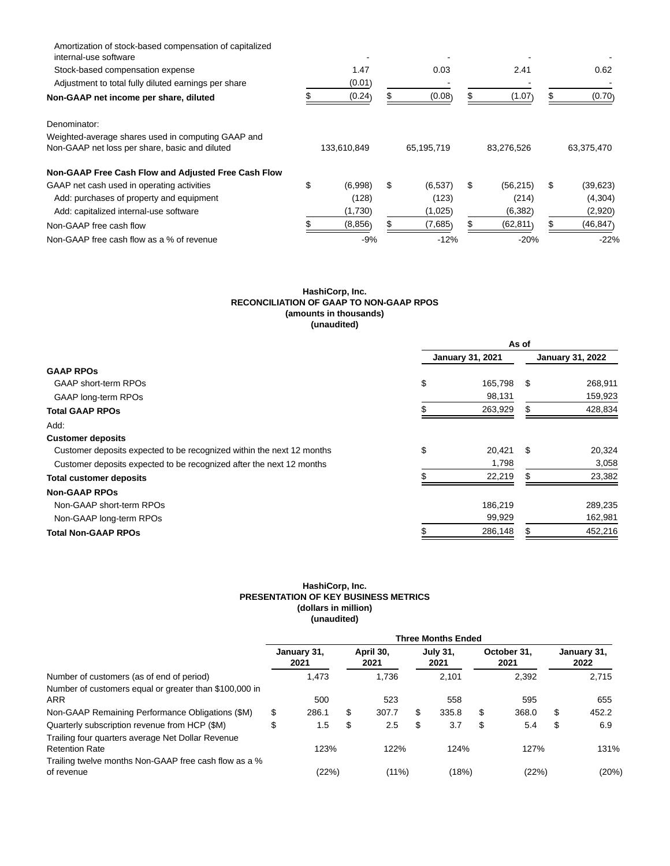| Amortization of stock-based compensation of capitalized<br>internal-use software |             |         |    |            |                 |            |           |
|----------------------------------------------------------------------------------|-------------|---------|----|------------|-----------------|------------|-----------|
| Stock-based compensation expense                                                 |             | 1.47    |    | 0.03       | 2.41            |            | 0.62      |
| Adjustment to total fully diluted earnings per share                             |             | (0.01)  |    |            |                 |            |           |
| Non-GAAP net income per share, diluted                                           |             | (0.24)  |    | (0.08)     | (1.07)          |            | (0.70)    |
| Denominator:                                                                     |             |         |    |            |                 |            |           |
| Weighted-average shares used in computing GAAP and                               |             |         |    |            |                 |            |           |
| Non-GAAP net loss per share, basic and diluted                                   | 133,610,849 |         |    | 65,195,719 | 83,276,526      | 63,375,470 |           |
| Non-GAAP Free Cash Flow and Adjusted Free Cash Flow                              |             |         |    |            |                 |            |           |
| GAAP net cash used in operating activities                                       | \$          | (6,998) | \$ | (6, 537)   | \$<br>(56, 215) | \$         | (39, 623) |
| Add: purchases of property and equipment                                         |             | (128)   |    | (123)      | (214)           |            | (4,304)   |
| Add: capitalized internal-use software                                           |             | (1,730) |    | (1,025)    | (6, 382)        |            | (2,920)   |
| Non-GAAP free cash flow                                                          |             | (8,856) |    | (7,685)    | (62, 811)       |            | (46, 847) |
| Non-GAAP free cash flow as a % of revenue                                        |             | $-9%$   |    | $-12%$     | $-20%$          |            | $-22%$    |

# **HashiCorp, Inc. RECONCILIATION OF GAAP TO NON-GAAP RPOS (amounts in thousands) (unaudited)**

|                                                                       |                         | As of |                         |
|-----------------------------------------------------------------------|-------------------------|-------|-------------------------|
|                                                                       | <b>January 31, 2021</b> |       | <b>January 31, 2022</b> |
| <b>GAAP RPOS</b>                                                      |                         |       |                         |
| GAAP short-term RPOs                                                  | \$<br>165,798           | - \$  | 268,911                 |
| GAAP long-term RPOs                                                   | 98,131                  |       | 159,923                 |
| <b>Total GAAP RPOs</b>                                                | 263,929                 |       | 428,834                 |
| Add:                                                                  |                         |       |                         |
| <b>Customer deposits</b>                                              |                         |       |                         |
| Customer deposits expected to be recognized within the next 12 months | \$<br>20.421            | \$    | 20,324                  |
| Customer deposits expected to be recognized after the next 12 months  | 1,798                   |       | 3,058                   |
| <b>Total customer deposits</b>                                        | 22,219                  |       | 23,382                  |
| <b>Non-GAAP RPOs</b>                                                  |                         |       |                         |
| Non-GAAP short-term RPOs                                              | 186.219                 |       | 289,235                 |
| Non-GAAP long-term RPOs                                               | 99,929                  |       | 162,981                 |
| <b>Total Non-GAAP RPOs</b>                                            | 286,148                 |       | 452,216                 |

# **HashiCorp, Inc. PRESENTATION OF KEY BUSINESS METRICS (dollars in million) (unaudited)**

|                                                                            | <b>Three Months Ended</b> |                     |    |                   |    |                         |    |                     |    |                     |  |
|----------------------------------------------------------------------------|---------------------------|---------------------|----|-------------------|----|-------------------------|----|---------------------|----|---------------------|--|
|                                                                            |                           | January 31,<br>2021 |    | April 30,<br>2021 |    | <b>July 31,</b><br>2021 |    | October 31.<br>2021 |    | January 31,<br>2022 |  |
| Number of customers (as of end of period)                                  |                           | 1.473               |    | 1.736             |    | 2.101                   |    | 2.392               |    | 2.715               |  |
| Number of customers equal or greater than \$100,000 in<br><b>ARR</b>       |                           | 500                 |    | 523               |    | 558                     |    | 595                 |    | 655                 |  |
| Non-GAAP Remaining Performance Obligations (\$M)                           | \$                        | 286.1               | \$ | 307.7             | \$ | 335.8                   | \$ | 368.0               | \$ | 452.2               |  |
| Quarterly subscription revenue from HCP (\$M)                              | \$                        | 1.5                 | \$ | 2.5               | \$ | 3.7                     | S  | 5.4                 | \$ | 6.9                 |  |
| Trailing four quarters average Net Dollar Revenue<br><b>Retention Rate</b> |                           | 123%                |    | 122%              |    | 124%                    |    | 127%                |    | 131%                |  |
| Trailing twelve months Non-GAAP free cash flow as a %<br>of revenue        |                           | (22%)               |    | (11%)             |    | (18%)                   |    | (22%)               |    | (20%)               |  |